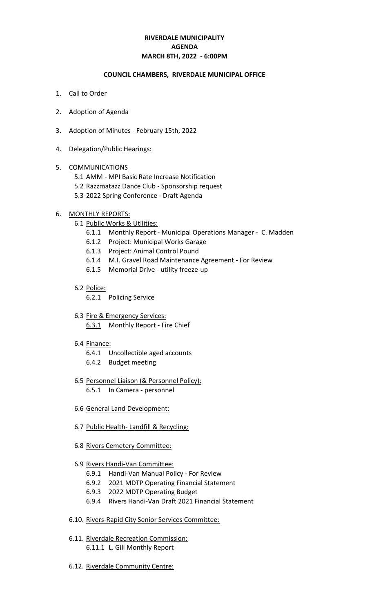# **RIVERDALE MUNICIPALITY MARCH 8TH, 2022 - 6:00PM AGENDA**

#### **COUNCIL CHAMBERS, RIVERDALE MUNICIPAL OFFICE**

- 1. Call to Order
- 2. Adoption of Agenda
- 3. Adoption of Minutes February 15th, 2022
- 4. Delegation/Public Hearings:

#### 5. COMMUNICATIONS

- 5.1 AMM MPI Basic Rate Increase Notification
- 5.2 Razzmatazz Dance Club Sponsorship request
- 5.3 2022 Spring Conference Draft Agenda

### 6. MONTHLY REPORTS:

- 6.1 Public Works & Utilities:
	- 6.1.1 Monthly Report Municipal Operations Manager C. Madden
	- 6.1.2 Project: Municipal Works Garage
	- 6.1.3 Project: Animal Control Pound
	- 6.1.4 M.I. Gravel Road Maintenance Agreement For Review
	- 6.1.5 Memorial Drive utility freeze-up
- 6.2 Police:
	- 6.2.1 Policing Service
- 6.3 Fire & Emergency Services: 6.3.1 Monthly Report - Fire Chief
- 6.4 Finance:
	- 6.4.1 Uncollectible aged accounts
	- 6.4.2 Budget meeting
- 6.5 Personnel Liaison (& Personnel Policy): 6.5.1 In Camera - personnel
- 6.6 General Land Development:
- 6.7 Public Health- Landfill & Recycling:
- 6.8 Rivers Cemetery Committee:
- 6.9 Rivers Handi-Van Committee:
	- 6.9.1 Handi-Van Manual Policy For Review
	- 6.9.2 2021 MDTP Operating Financial Statement
	- 6.9.3 2022 MDTP Operating Budget
	- 6.9.4 Rivers Handi-Van Draft 2021 Financial Statement
- 6.10. Rivers-Rapid City Senior Services Committee:
- 6.11. Riverdale Recreation Commission: 6.11.1 L. Gill Monthly Report
- 6.12. Riverdale Community Centre: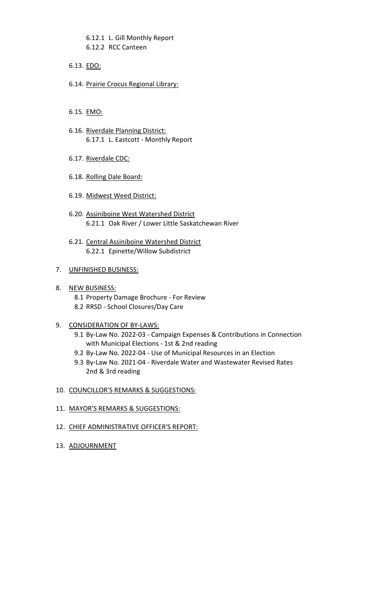# 6.12.1 L. Gill Monthly Report

6.12.2 RCC Canteen

# 6.13. EDO:

6.14. Prairie Crocus Regional Library:

## 6.15. EMO:

- 6.16. Riverdale Planning District: 6.17.1 L. Eastcott - Monthly Report
- 6.17. Riverdale CDC:
- 6.18. Rolling Dale Board:
- 6.19. Midwest Weed District:
- 6.20. Assiniboine West Watershed District 6.21.1 Oak River / Lower Little Saskatchewan River
- 6.21. Central Assiniboine Watershed District 6.22.1 Epinette/Willow Subdistrict

# 7. UNFINISHED BUSINESS:

# 8. NEW BUSINESS:

- 8.1 Property Damage Brochure For Review
- 8.2 RRSD School Closures/Day Care

# 9. CONSIDERATION OF BY-LAWS:

- 9.1 By-Law No. 2022-03 Campaign Expenses & Contributions in Connection with Municipal Elections - 1st & 2nd reading
- 9.2 By-Law No. 2022-04 Use of Municipal Resources in an Election
- 9.3 By-Law No. 2021-04 Riverdale Water and Wastewater Revised Rates 2nd & 3rd reading
- 10. COUNCILLOR'S REMARKS & SUGGESTIONS:
- 11. MAYOR'S REMARKS & SUGGESTIONS:
- 12. CHIEF ADMINISTRATIVE OFFICER'S REPORT:
- 13. ADJOURNMENT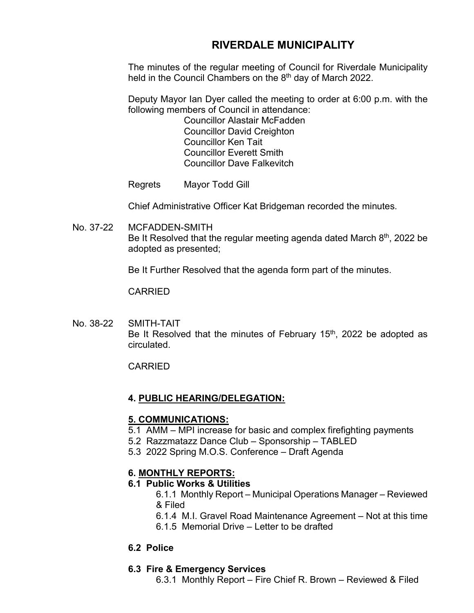# **RIVERDALE MUNICIPALITY**

The minutes of the regular meeting of Council for Riverdale Municipality held in the Council Chambers on the 8<sup>th</sup> day of March 2022.

Deputy Mayor Ian Dyer called the meeting to order at 6:00 p.m. with the following members of Council in attendance:

> Councillor Alastair McFadden Councillor David Creighton Councillor Ken Tait Councillor Everett Smith Councillor Dave Falkevitch

Regrets Mayor Todd Gill

Chief Administrative Officer Kat Bridgeman recorded the minutes.

No. 37-22 MCFADDEN-SMITH Be It Resolved that the regular meeting agenda dated March 8<sup>th</sup>, 2022 be adopted as presented;

Be It Further Resolved that the agenda form part of the minutes.

## CARRIED

No. 38-22 SMITH-TAIT Be It Resolved that the minutes of February 15<sup>th</sup>, 2022 be adopted as circulated.

CARRIED

# **4. PUBLIC HEARING/DELEGATION:**

## **5. COMMUNICATIONS:**

- 5.1 AMM MPI increase for basic and complex firefighting payments
- 5.2 Razzmatazz Dance Club Sponsorship TABLED
- 5.3 2022 Spring M.O.S. Conference Draft Agenda

# **6. MONTHLY REPORTS:**

## **6.1 Public Works & Utilities**

- 6.1.1 Monthly Report Municipal Operations Manager Reviewed & Filed
	- 6.1.4 M.I. Gravel Road Maintenance Agreement Not at this time
	- 6.1.5 Memorial Drive Letter to be drafted

## **6.2 Police**

## **6.3 Fire & Emergency Services**

6.3.1 Monthly Report – Fire Chief R. Brown – Reviewed & Filed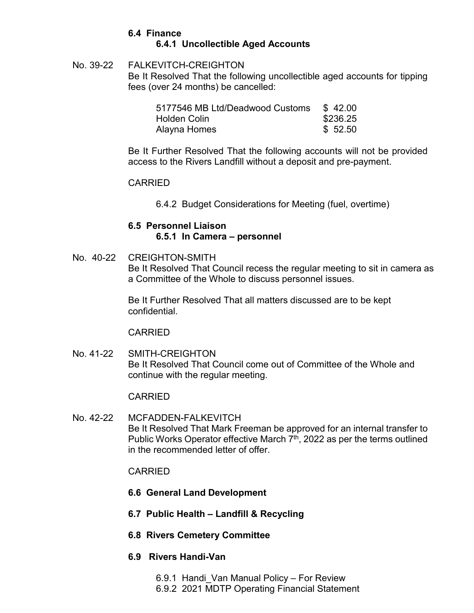### **6.4 Finance 6.4.1 Uncollectible Aged Accounts**

No. 39-22 FALKEVITCH-CREIGHTON Be It Resolved That the following uncollectible aged accounts for tipping fees (over 24 months) be cancelled:

| 5177546 MB Ltd/Deadwood Customs | \$42.00  |
|---------------------------------|----------|
| Holden Colin                    | \$236.25 |
| Alayna Homes                    | \$52.50  |

Be It Further Resolved That the following accounts will not be provided access to the Rivers Landfill without a deposit and pre-payment.

#### CARRIED

6.4.2 Budget Considerations for Meeting (fuel, overtime)

#### **6.5 Personnel Liaison 6.5.1 In Camera – personnel**

No. 40-22 CREIGHTON-SMITH Be It Resolved That Council recess the regular meeting to sit in camera as a Committee of the Whole to discuss personnel issues.

> Be It Further Resolved That all matters discussed are to be kept confidential.

CARRIED

No. 41-22 SMITH-CREIGHTON Be It Resolved That Council come out of Committee of the Whole and continue with the regular meeting.

#### CARRIED

No. 42-22 MCFADDEN-FALKEVITCH Be It Resolved That Mark Freeman be approved for an internal transfer to Public Works Operator effective March 7<sup>th</sup>, 2022 as per the terms outlined in the recommended letter of offer.

#### CARRIED

- **6.6 General Land Development**
- **6.7 Public Health – Landfill & Recycling**
- **6.8 Rivers Cemetery Committee**
- **6.9 Rivers Handi-Van** 
	- 6.9.1 Handi\_Van Manual Policy For Review
	- 6.9.2 2021 MDTP Operating Financial Statement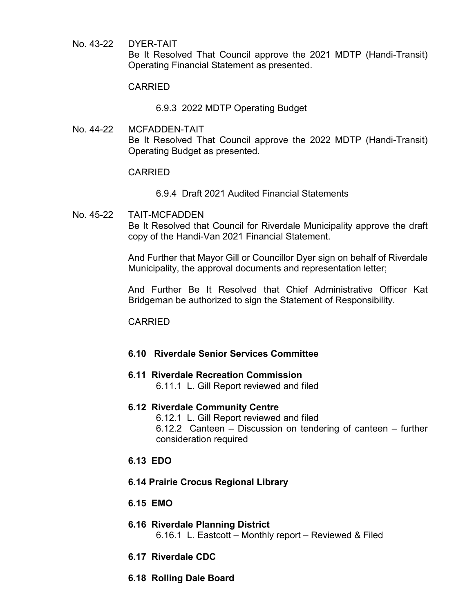No. 43-22 DYER-TAIT

Be It Resolved That Council approve the 2021 MDTP (Handi-Transit) Operating Financial Statement as presented.

CARRIED

6.9.3 2022 MDTP Operating Budget

No. 44-22 MCFADDEN-TAIT Be It Resolved That Council approve the 2022 MDTP (Handi-Transit) Operating Budget as presented.

#### CARRIED

6.9.4 Draft 2021 Audited Financial Statements

No. 45-22 TAIT-MCFADDEN Be It Resolved that Council for Riverdale Municipality approve the draft copy of the Handi-Van 2021 Financial Statement.

> And Further that Mayor Gill or Councillor Dyer sign on behalf of Riverdale Municipality, the approval documents and representation letter;

> And Further Be It Resolved that Chief Administrative Officer Kat Bridgeman be authorized to sign the Statement of Responsibility.

CARRIED

## **6.10 Riverdale Senior Services Committee**

**6.11 Riverdale Recreation Commission**

6.11.1 L. Gill Report reviewed and filed

**6.12 Riverdale Community Centre**

6.12.1 L. Gill Report reviewed and filed

6.12.2 Canteen – Discussion on tendering of canteen – further consideration required

- **6.13 EDO**
- **6.14 Prairie Crocus Regional Library**
- **6.15 EMO**
- **6.16 Riverdale Planning District** 6.16.1 L. Eastcott – Monthly report – Reviewed & Filed
- **6.17 Riverdale CDC**
- **6.18 Rolling Dale Board**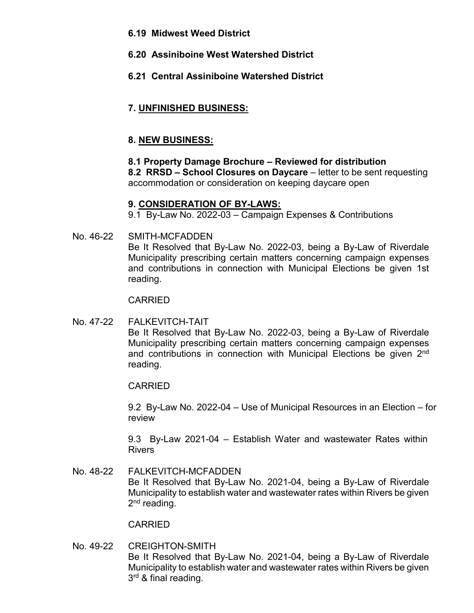- **6.19 Midwest Weed District**
- **6.20 Assiniboine West Watershed District**
- **6.21 Central Assiniboine Watershed District**

# **7. UNFINISHED BUSINESS:**

# **8. NEW BUSINESS:**

## **8.1 Property Damage Brochure – Reviewed for distribution**

**8.2 RRSD – School Closures on Daycare** – letter to be sent requesting accommodation or consideration on keeping daycare open

## **9. CONSIDERATION OF BY-LAWS:**

9.1 By-Law No. 2022-03 – Campaign Expenses & Contributions

No. 46-22 SMITH-MCFADDEN Be It Resolved that By-Law No. 2022-03, being a By-Law of Riverdale Municipality prescribing certain matters concerning campaign expenses and contributions in connection with Municipal Elections be given 1st reading.

#### CARRIED

No. 47-22 FALKEVITCH-TAIT

Be It Resolved that By-Law No. 2022-03, being a By-Law of Riverdale Municipality prescribing certain matters concerning campaign expenses and contributions in connection with Municipal Elections be given 2<sup>nd</sup> reading.

## CARRIED

9.2 By-Law No. 2022-04 – Use of Municipal Resources in an Election – for review

9.3 By-Law 2021-04 – Establish Water and wastewater Rates within Rivers

No. 48-22 FALKEVITCH-MCFADDEN Be It Resolved that By-Law No. 2021-04, being a By-Law of Riverdale Municipality to establish water and wastewater rates within Rivers be given 2<sup>nd</sup> reading.

#### CARRIED

No. 49-22 CREIGHTON-SMITH Be It Resolved that By-Law No. 2021-04, being a By-Law of Riverdale Municipality to establish water and wastewater rates within Rivers be given 3<sup>rd</sup> & final reading.